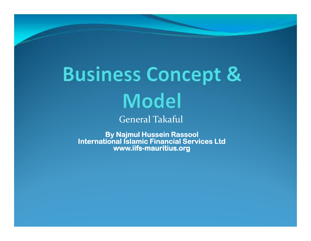# **Business Concept & Model**

General Takaful

**By Najmul By Hussein Hussein Rassool Rassool International Islamic Financial Services Ltdwww.iifs- www.iifs-mauritius.org mauritius.org**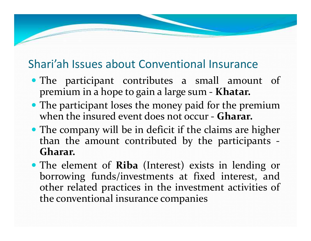### Shari'ah Issues about Conventional Insurance

 $\sim$ 

- The participant contributes <sup>a</sup> small amount of premium in <sup>a</sup> hope to gain <sup>a</sup> large sum - **Khatar.**
- The participant loses the money paid for the premium when the insured event does not occur - **Gharar.**
- The company will be in deficit if the claims are higher than the amount contributed by the participants - **Gharar.**
- The element of **Riba** (Interest) exists in lending or borrowing funds/investments at fixed interest, and other related practices in the investment activities of the conventional insurance companies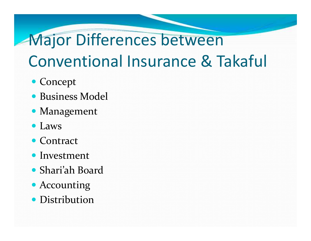### Major Differences between Conventional Insurance & Takaful

- Concept
- Business Model
- Management
- Laws
- Contract
- Investment
- Shari'ah Board
- Accounting
- Distribution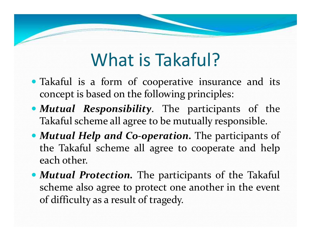### What is Takaful?

- Takaful is <sup>a</sup> form of cooperative insurance and its concep<sup>t</sup> is based on the following principles:
- *Mutual Responsibility*. The participants of the Takaful scheme all agree to be mutually responsible.
- *Mutual Help and Co-operation.* The participants of the Takaful scheme all agree to cooperate and helpeach other.
- *Mutual Protection.* The participants of the Takaful scheme also agree to protect one another in the event of difficulty as <sup>a</sup> result of tragedy.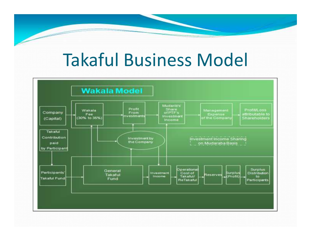### Takaful Business Model

 $\sim$ 

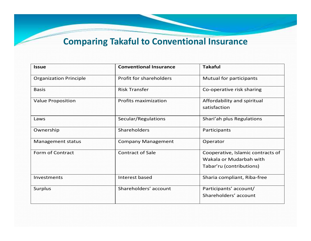#### **Comparing Takaful to Conventional Insurance**

| <b>Issue</b>                  | <b>Conventional Insurance</b> | <b>Takaful</b>                                                                           |
|-------------------------------|-------------------------------|------------------------------------------------------------------------------------------|
| <b>Organization Principle</b> | Profit for shareholders       | Mutual for participants                                                                  |
| <b>Basis</b>                  | <b>Risk Transfer</b>          | Co-operative risk sharing                                                                |
| <b>Value Proposition</b>      | <b>Profits maximization</b>   | Affordability and spiritual<br>satisfaction                                              |
| Laws                          | Secular/Regulations           | Shari'ah plus Regulations                                                                |
| Ownership                     | <b>Shareholders</b>           | Participants                                                                             |
| Management status             | <b>Company Management</b>     | Operator                                                                                 |
| Form of Contract              | <b>Contract of Sale</b>       | Cooperative, Islamic contracts of<br>Wakala or Mudarbah with<br>Tabar'ru (contributions) |
| Investments                   | Interest based                | Sharia compliant, Riba-free                                                              |
| <b>Surplus</b>                | Shareholders' account         | Participants' account/<br>Shareholders' account                                          |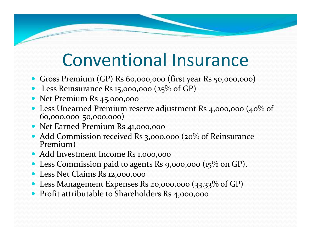### Conventional Insurance

- Gross Premium (GP) Rs 60,000,000 (first year Rs 50,000,000)
- Less Reinsurance Rs 15,000,000 (25% of GP)
- Net Premium Rs 45,000,000
- Less Unearned Premium reserve adjustment Rs 4,000,000 (40% of 60,000,000-50,000,000)
- Net Earned Premium Rs 41,000,000
- Add Commission received Rs 3,000,000 (20% of Reinsurance Premium)
- Add Investment Income Rs 1,000,000
- Less Commission paid to agents Rs 9,000,000 (15% on GP).
- Less Net Claims Rs 12,000,000
- Less Management Expenses Rs 20,000,000 (33.33% of GP)
- Profit attributable to Shareholders Rs 4,000,000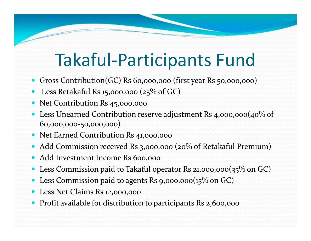### Takaful-Participants Fund

- Gross Contribution(GC) Rs 60,000,000 (first year Rs 50,000,000)
- $\bullet$ Less Retakaful Rs 15,000,000 (25% of GC)
- $\bullet$ Net Contribution Rs 45,000,000
- Less Unearned Contribution reserve adjustment Rs 4,000,000(40% of 60,000,000-50,000,000)
- Net Earned Contribution Rs 41,000,000
- Add Commission received Rs 3,000,000 (20% of Retakaful Premium)
- $\bullet$ Add Investment Income Rs 600,000
- $\bullet$ Less Commission paid to Takaful operator Rs 21,000,000(35% on GC)
- $\bullet$ Less Commission paid to agents Rs 9,000,000(15% on GC)
- $\bullet$ Less Net Claims Rs 12,000,000
- Profit available for distribution to participants Rs 2,600,000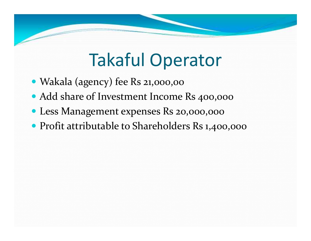## Takaful Operator

- Wakala (agency) fee Rs 21,000,00
- Add share of Investment Income Rs 400,000
- Less Management expenses Rs 20,000,000
- Profit attributable to Shareholders Rs 1,400,000